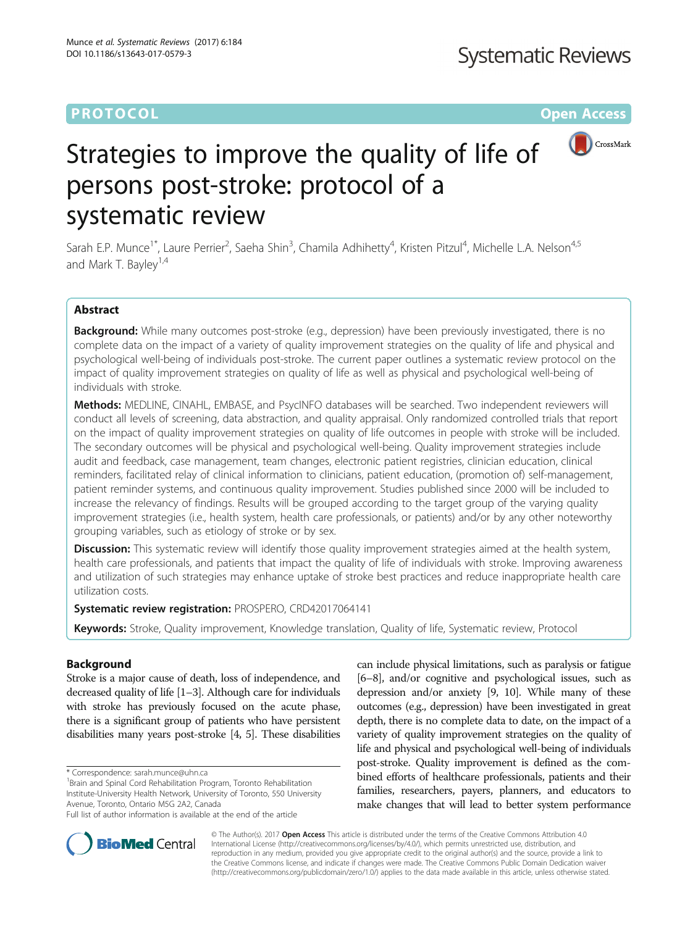# **PROTOCOL CONSUMING THE OPEN ACCESS**



# Strategies to improve the quality of life of persons post-stroke: protocol of a systematic review

Sarah E.P. Munce<sup>1\*</sup>, Laure Perrier<sup>2</sup>, Saeha Shin<sup>3</sup>, Chamila Adhihetty<sup>4</sup>, Kristen Pitzul<sup>4</sup>, Michelle L.A. Nelson<sup>4,5</sup> and Mark T. Bayley<sup>1,4</sup>

# Abstract

Background: While many outcomes post-stroke (e.g., depression) have been previously investigated, there is no complete data on the impact of a variety of quality improvement strategies on the quality of life and physical and psychological well-being of individuals post-stroke. The current paper outlines a systematic review protocol on the impact of quality improvement strategies on quality of life as well as physical and psychological well-being of individuals with stroke.

Methods: MEDLINE, CINAHL, EMBASE, and PsycINFO databases will be searched. Two independent reviewers will conduct all levels of screening, data abstraction, and quality appraisal. Only randomized controlled trials that report on the impact of quality improvement strategies on quality of life outcomes in people with stroke will be included. The secondary outcomes will be physical and psychological well-being. Quality improvement strategies include audit and feedback, case management, team changes, electronic patient registries, clinician education, clinical reminders, facilitated relay of clinical information to clinicians, patient education, (promotion of) self-management, patient reminder systems, and continuous quality improvement. Studies published since 2000 will be included to increase the relevancy of findings. Results will be grouped according to the target group of the varying quality improvement strategies (i.e., health system, health care professionals, or patients) and/or by any other noteworthy grouping variables, such as etiology of stroke or by sex.

Discussion: This systematic review will identify those quality improvement strategies aimed at the health system, health care professionals, and patients that impact the quality of life of individuals with stroke. Improving awareness and utilization of such strategies may enhance uptake of stroke best practices and reduce inappropriate health care utilization costs.

Systematic review registration: PROSPERO, [CRD42017064141](http://www.crd.york.ac.uk/PROSPERO/display_record.asp?ID=CRD42017064141)

Keywords: Stroke, Quality improvement, Knowledge translation, Quality of life, Systematic review, Protocol

# Background

Stroke is a major cause of death, loss of independence, and decreased quality of life [\[1](#page-3-0)–[3](#page-3-0)]. Although care for individuals with stroke has previously focused on the acute phase, there is a significant group of patients who have persistent disabilities many years post-stroke [\[4](#page-3-0), [5](#page-3-0)]. These disabilities

\* Correspondence: [sarah.munce@uhn.ca](mailto:sarah.munce@uhn.ca) <sup>1</sup>

<sup>1</sup> Brain and Spinal Cord Rehabilitation Program, Toronto Rehabilitation Institute-University Health Network, University of Toronto, 550 University Avenue, Toronto, Ontario M5G 2A2, Canada Full list of author information is available at the end of the article



© The Author(s). 2017 **Open Access** This article is distributed under the terms of the Creative Commons Attribution 4.0 International License [\(http://creativecommons.org/licenses/by/4.0/](http://creativecommons.org/licenses/by/4.0/)), which permits unrestricted use, distribution, and reproduction in any medium, provided you give appropriate credit to the original author(s) and the source, provide a link to the Creative Commons license, and indicate if changes were made. The Creative Commons Public Domain Dedication waiver [\(http://creativecommons.org/publicdomain/zero/1.0/](http://creativecommons.org/publicdomain/zero/1.0/)) applies to the data made available in this article, unless otherwise stated.

can include physical limitations, such as paralysis or fatigue [[6](#page-3-0)–[8\]](#page-3-0), and/or cognitive and psychological issues, such as depression and/or anxiety [[9](#page-3-0), [10\]](#page-3-0). While many of these outcomes (e.g., depression) have been investigated in great depth, there is no complete data to date, on the impact of a variety of quality improvement strategies on the quality of life and physical and psychological well-being of individuals post-stroke. Quality improvement is defined as the combined efforts of healthcare professionals, patients and their families, researchers, payers, planners, and educators to make changes that will lead to better system performance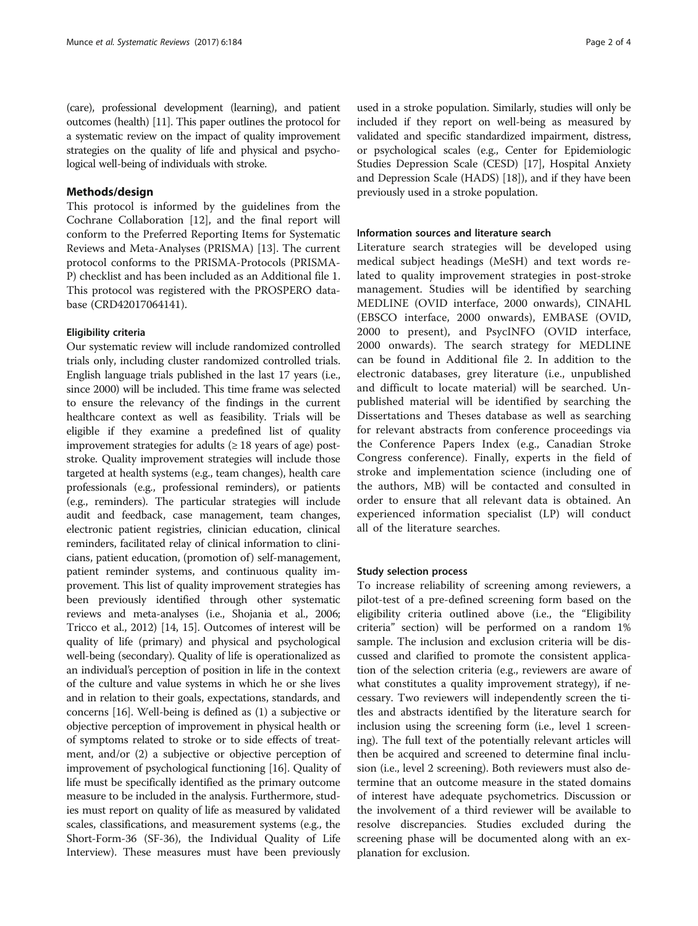(care), professional development (learning), and patient outcomes (health) [\[11\]](#page-3-0). This paper outlines the protocol for a systematic review on the impact of quality improvement strategies on the quality of life and physical and psychological well-being of individuals with stroke.

# Methods/design

This protocol is informed by the guidelines from the Cochrane Collaboration [\[12\]](#page-3-0), and the final report will conform to the Preferred Reporting Items for Systematic Reviews and Meta-Analyses (PRISMA) [[13\]](#page-3-0). The current protocol conforms to the PRISMA-Protocols (PRISMA-P) checklist and has been included as an Additional file [1](#page-2-0). This protocol was registered with the PROSPERO database (CRD42017064141).

# Eligibility criteria

Our systematic review will include randomized controlled trials only, including cluster randomized controlled trials. English language trials published in the last 17 years (i.e., since 2000) will be included. This time frame was selected to ensure the relevancy of the findings in the current healthcare context as well as feasibility. Trials will be eligible if they examine a predefined list of quality improvement strategies for adults  $(≥ 18$  years of age) poststroke. Quality improvement strategies will include those targeted at health systems (e.g., team changes), health care professionals (e.g., professional reminders), or patients (e.g., reminders). The particular strategies will include audit and feedback, case management, team changes, electronic patient registries, clinician education, clinical reminders, facilitated relay of clinical information to clinicians, patient education, (promotion of) self-management, patient reminder systems, and continuous quality improvement. This list of quality improvement strategies has been previously identified through other systematic reviews and meta-analyses (i.e., Shojania et al., 2006; Tricco et al., 2012) [[14](#page-3-0), [15](#page-3-0)]. Outcomes of interest will be quality of life (primary) and physical and psychological well-being (secondary). Quality of life is operationalized as an individual's perception of position in life in the context of the culture and value systems in which he or she lives and in relation to their goals, expectations, standards, and concerns [[16\]](#page-3-0). Well-being is defined as (1) a subjective or objective perception of improvement in physical health or of symptoms related to stroke or to side effects of treatment, and/or (2) a subjective or objective perception of improvement of psychological functioning [\[16](#page-3-0)]. Quality of life must be specifically identified as the primary outcome measure to be included in the analysis. Furthermore, studies must report on quality of life as measured by validated scales, classifications, and measurement systems (e.g., the Short-Form-36 (SF-36), the Individual Quality of Life Interview). These measures must have been previously

used in a stroke population. Similarly, studies will only be included if they report on well-being as measured by validated and specific standardized impairment, distress, or psychological scales (e.g., Center for Epidemiologic Studies Depression Scale (CESD) [\[17\]](#page-3-0), Hospital Anxiety and Depression Scale (HADS) [\[18\]](#page-3-0)), and if they have been previously used in a stroke population.

# Information sources and literature search

Literature search strategies will be developed using medical subject headings (MeSH) and text words related to quality improvement strategies in post-stroke management. Studies will be identified by searching MEDLINE (OVID interface, 2000 onwards), CINAHL (EBSCO interface, 2000 onwards), EMBASE (OVID, 2000 to present), and PsycINFO (OVID interface, 2000 onwards). The search strategy for MEDLINE can be found in Additional file [2](#page-2-0). In addition to the electronic databases, grey literature (i.e., unpublished and difficult to locate material) will be searched. Unpublished material will be identified by searching the Dissertations and Theses database as well as searching for relevant abstracts from conference proceedings via the Conference Papers Index (e.g., Canadian Stroke Congress conference). Finally, experts in the field of stroke and implementation science (including one of the authors, MB) will be contacted and consulted in order to ensure that all relevant data is obtained. An experienced information specialist (LP) will conduct all of the literature searches.

## Study selection process

To increase reliability of screening among reviewers, a pilot-test of a pre-defined screening form based on the eligibility criteria outlined above (i.e., the "Eligibility criteria" section) will be performed on a random 1% sample. The inclusion and exclusion criteria will be discussed and clarified to promote the consistent application of the selection criteria (e.g., reviewers are aware of what constitutes a quality improvement strategy), if necessary. Two reviewers will independently screen the titles and abstracts identified by the literature search for inclusion using the screening form (i.e., level 1 screening). The full text of the potentially relevant articles will then be acquired and screened to determine final inclusion (i.e., level 2 screening). Both reviewers must also determine that an outcome measure in the stated domains of interest have adequate psychometrics. Discussion or the involvement of a third reviewer will be available to resolve discrepancies. Studies excluded during the screening phase will be documented along with an explanation for exclusion.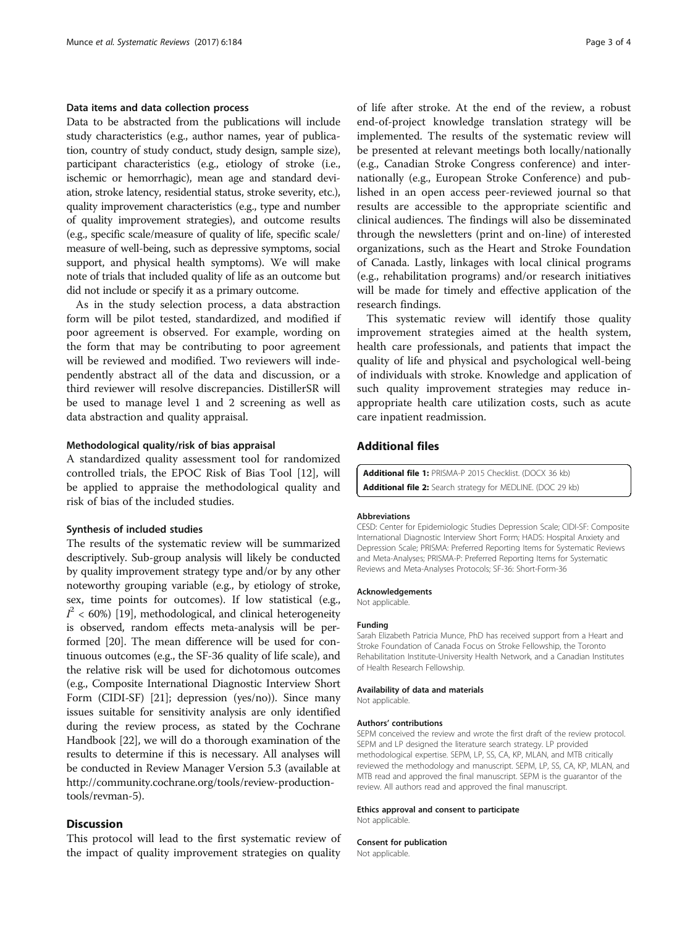# <span id="page-2-0"></span>Data items and data collection process

Data to be abstracted from the publications will include study characteristics (e.g., author names, year of publication, country of study conduct, study design, sample size), participant characteristics (e.g., etiology of stroke (i.e., ischemic or hemorrhagic), mean age and standard deviation, stroke latency, residential status, stroke severity, etc.), quality improvement characteristics (e.g., type and number of quality improvement strategies), and outcome results (e.g., specific scale/measure of quality of life, specific scale/ measure of well-being, such as depressive symptoms, social support, and physical health symptoms). We will make note of trials that included quality of life as an outcome but did not include or specify it as a primary outcome.

As in the study selection process, a data abstraction form will be pilot tested, standardized, and modified if poor agreement is observed. For example, wording on the form that may be contributing to poor agreement will be reviewed and modified. Two reviewers will independently abstract all of the data and discussion, or a third reviewer will resolve discrepancies. DistillerSR will be used to manage level 1 and 2 screening as well as data abstraction and quality appraisal.

# Methodological quality/risk of bias appraisal

A standardized quality assessment tool for randomized controlled trials, the EPOC Risk of Bias Tool [[12\]](#page-3-0), will be applied to appraise the methodological quality and risk of bias of the included studies.

## Synthesis of included studies

The results of the systematic review will be summarized descriptively. Sub-group analysis will likely be conducted by quality improvement strategy type and/or by any other noteworthy grouping variable (e.g., by etiology of stroke, sex, time points for outcomes). If low statistical (e.g.,  $I^2$  < 60%) [\[19](#page-3-0)], methodological, and clinical heterogeneity is observed, random effects meta-analysis will be performed [\[20\]](#page-3-0). The mean difference will be used for continuous outcomes (e.g., the SF-36 quality of life scale), and the relative risk will be used for dichotomous outcomes (e.g., Composite International Diagnostic Interview Short Form (CIDI-SF) [\[21\]](#page-3-0); depression (yes/no)). Since many issues suitable for sensitivity analysis are only identified during the review process, as stated by the Cochrane Handbook [[22\]](#page-3-0), we will do a thorough examination of the results to determine if this is necessary. All analyses will be conducted in Review Manager Version 5.3 (available at [http://community.cochrane.org/tools/review-production](http://community.cochrane.org/tools/review-production-tools/revman-5)[tools/revman-5\)](http://community.cochrane.org/tools/review-production-tools/revman-5).

# **Discussion**

This protocol will lead to the first systematic review of the impact of quality improvement strategies on quality

of life after stroke. At the end of the review, a robust end-of-project knowledge translation strategy will be implemented. The results of the systematic review will be presented at relevant meetings both locally/nationally (e.g., Canadian Stroke Congress conference) and internationally (e.g., European Stroke Conference) and published in an open access peer-reviewed journal so that results are accessible to the appropriate scientific and clinical audiences. The findings will also be disseminated through the newsletters (print and on-line) of interested organizations, such as the Heart and Stroke Foundation of Canada. Lastly, linkages with local clinical programs (e.g., rehabilitation programs) and/or research initiatives will be made for timely and effective application of the research findings.

This systematic review will identify those quality improvement strategies aimed at the health system, health care professionals, and patients that impact the quality of life and physical and psychological well-being of individuals with stroke. Knowledge and application of such quality improvement strategies may reduce inappropriate health care utilization costs, such as acute care inpatient readmission.

# Additional files

[Additional file 1:](dx.doi.org/10.1186/s13643-017-0579-3) PRISMA-P 2015 Checklist. (DOCX 36 kb) [Additional file 2:](dx.doi.org/10.1186/s13643-017-0579-3) Search strategy for MEDLINE. (DOC 29 kb)

#### Abbreviations

CESD: Center for Epidemiologic Studies Depression Scale; CIDI-SF: Composite International Diagnostic Interview Short Form; HADS: Hospital Anxiety and Depression Scale; PRISMA: Preferred Reporting Items for Systematic Reviews and Meta-Analyses; PRISMA-P: Preferred Reporting Items for Systematic Reviews and Meta-Analyses Protocols; SF-36: Short-Form-36

#### Acknowledgements

Not applicable.

#### Funding

Sarah Elizabeth Patricia Munce, PhD has received support from a Heart and Stroke Foundation of Canada Focus on Stroke Fellowship, the Toronto Rehabilitation Institute-University Health Network, and a Canadian Institutes of Health Research Fellowship.

#### Availability of data and materials

Not applicable.

#### Authors' contributions

SEPM conceived the review and wrote the first draft of the review protocol. SEPM and LP designed the literature search strategy. LP provided methodological expertise. SEPM, LP, SS, CA, KP, MLAN, and MTB critically reviewed the methodology and manuscript. SEPM, LP, SS, CA, KP, MLAN, and MTB read and approved the final manuscript. SEPM is the guarantor of the review. All authors read and approved the final manuscript.

#### Ethics approval and consent to participate

Not applicable.

#### Consent for publication

Not applicable.